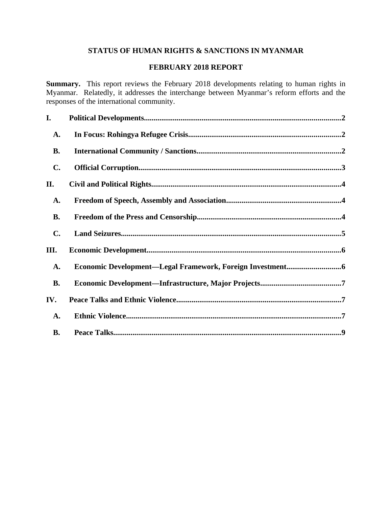# **STATUS OF HUMAN RIGHTS & SANCTIONS IN MYANMAR**

# **FEBRUARY 2018 REPORT**

**Summary.** This report reviews the February 2018 developments relating to human rights in Myanmar. Relatedly, it addresses the interchange between Myanmar's reform efforts and the responses of the international community.

| I.             |  |
|----------------|--|
| <b>A.</b>      |  |
| <b>B.</b>      |  |
| C.             |  |
| II.            |  |
| <b>A.</b>      |  |
| <b>B.</b>      |  |
| $\mathbf{C}$ . |  |
| III.           |  |
| A.             |  |
| <b>B.</b>      |  |
| IV.            |  |
| <b>A.</b>      |  |
| <b>B.</b>      |  |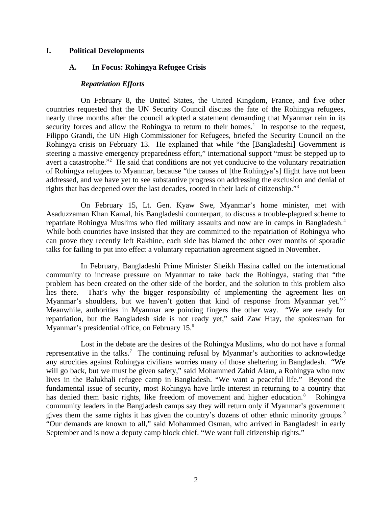#### **I. Political Developments**

### <span id="page-1-0"></span>**A. In Focus: Rohingya Refugee Crisis**

#### <span id="page-1-1"></span>*Repatriation Efforts*

On February 8, the United States, the United Kingdom, France, and five other countries requested that the UN Security Council discuss the fate of the Rohingya refugees, nearly three months after the council adopted a statement demanding that Myanmar rein in its security forces and allow the Rohingya to return to their homes. $1$  In response to the request, Filippo Grandi, the UN High Commissioner for Refugees, briefed the Security Council on the Rohingya crisis on February 13. He explained that while "the [Bangladeshi] Government is steering a massive emergency preparedness effort," international support "must be stepped up to avert a catastrophe."<sup>2</sup> He said that conditions are not yet conducive to the voluntary repatriation of Rohingya refugees to Myanmar, because "the causes of [the Rohingya's] flight have not been addressed, and we have yet to see substantive progress on addressing the exclusion and denial of rights that has deepened over the last decades, rooted in their lack of citizenship."<sup>3</sup>

On February 15, Lt. Gen. Kyaw Swe, Myanmar's home minister, met with Asaduzzaman Khan Kamal, his Bangladeshi counterpart, to discuss a trouble-plagued scheme to repatriate Rohingya Muslims who fled military assaults and now are in camps in Bangladesh.<sup>4</sup> While both countries have insisted that they are committed to the repatriation of Rohingya who can prove they recently left Rakhine, each side has blamed the other over months of sporadic talks for failing to put into effect a voluntary repatriation agreement signed in November.

In February, Bangladeshi Prime Minister Sheikh Hasina called on the international community to increase pressure on Myanmar to take back the Rohingya, stating that "the problem has been created on the other side of the border, and the solution to this problem also lies there. That's why the bigger responsibility of implementing the agreement lies on Myanmar's shoulders, but we haven't gotten that kind of response from Myanmar yet."<sup>5</sup> Meanwhile, authorities in Myanmar are pointing fingers the other way. "We are ready for repatriation, but the Bangladesh side is not ready yet," said Zaw Htay, the spokesman for Myanmar's presidential office, on February 15.<sup>6</sup>

Lost in the debate are the desires of the Rohingya Muslims, who do not have a formal representative in the talks.<sup>7</sup> The continuing refusal by Myanmar's authorities to acknowledge any atrocities against Rohingya civilians worries many of those sheltering in Bangladesh. "We will go back, but we must be given safety," said Mohammed Zahid Alam, a Rohingya who now lives in the Balukhali refugee camp in Bangladesh. "We want a peaceful life." Beyond the fundamental issue of security, most Rohingya have little interest in returning to a country that has denied them basic rights, like freedom of movement and higher education.<sup>8</sup> Rohingya community leaders in the Bangladesh camps say they will return only if Myanmar's government gives them the same rights it has given the country's dozens of other ethnic minority groups.<sup>9</sup> "Our demands are known to all," said Mohammed Osman, who arrived in Bangladesh in early September and is now a deputy camp block chief. "We want full citizenship rights."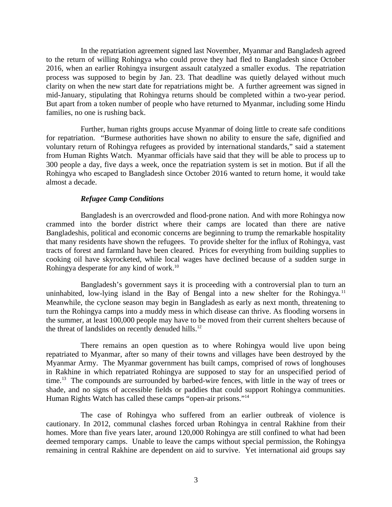In the repatriation agreement signed last November, Myanmar and Bangladesh agreed to the return of willing Rohingya who could prove they had fled to Bangladesh since October 2016, when an earlier Rohingya insurgent assault catalyzed a smaller exodus. The repatriation process was supposed to begin by Jan. 23. That deadline was quietly delayed without much clarity on when the new start date for repatriations might be. A further agreement was signed in mid-January, stipulating that Rohingya returns should be completed within a two-year period. But apart from a token number of people who have returned to Myanmar, including some Hindu families, no one is rushing back.

Further, human rights groups accuse Myanmar of doing little to create safe conditions for repatriation. "Burmese authorities have shown no ability to ensure the safe, dignified and voluntary return of Rohingya refugees as provided by international standards," said a statement from Human Rights Watch. Myanmar officials have said that they will be able to process up to 300 people a day, five days a week, once the repatriation system is set in motion. But if all the Rohingya who escaped to Bangladesh since October 2016 wanted to return home, it would take almost a decade.

### *Refugee Camp Conditions*

Bangladesh is an overcrowded and flood-prone nation. And with more Rohingya now crammed into the border district where their camps are located than there are native Bangladeshis, political and economic concerns are beginning to trump the remarkable hospitality that many residents have shown the refugees. To provide shelter for the influx of Rohingya, vast tracts of forest and farmland have been cleared. Prices for everything from building supplies to cooking oil have skyrocketed, while local wages have declined because of a sudden surge in Rohingya desperate for any kind of work.<sup>10</sup>

Bangladesh's government says it is proceeding with a controversial plan to turn an uninhabited, low-lying island in the Bay of Bengal into a new shelter for the Rohingya.<sup>11</sup> Meanwhile, the cyclone season may begin in Bangladesh as early as next month, threatening to turn the Rohingya camps into a muddy mess in which disease can thrive. As flooding worsens in the summer, at least 100,000 people may have to be moved from their current shelters because of the threat of landslides on recently denuded hills. $12$ 

There remains an open question as to where Rohingya would live upon being repatriated to Myanmar, after so many of their towns and villages have been destroyed by the Myanmar Army. The Myanmar government has built camps, comprised of rows of longhouses in Rakhine in which repatriated Rohingya are supposed to stay for an unspecified period of time.<sup>13</sup> The compounds are surrounded by barbed-wire fences, with little in the way of trees or shade, and no signs of accessible fields or paddies that could support Rohingya communities. Human Rights Watch has called these camps "open-air prisons."<sup>14</sup>

The case of Rohingya who suffered from an earlier outbreak of violence is cautionary. In 2012, communal clashes forced urban Rohingya in central Rakhine from their homes. More than five years later, around 120,000 Rohingya are still confined to what had been deemed temporary camps. Unable to leave the camps without special permission, the Rohingya remaining in central Rakhine are dependent on aid to survive. Yet international aid groups say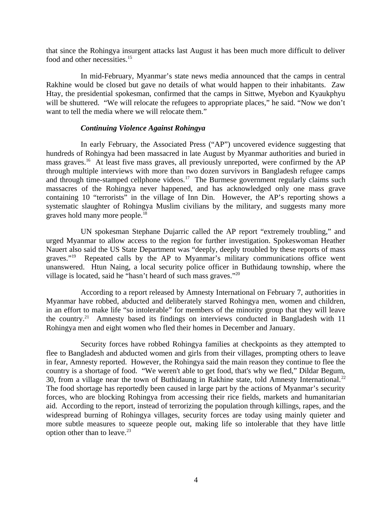that since the Rohingya insurgent attacks last August it has been much more difficult to deliver food and other necessities.<sup>15</sup>

In mid-February, Myanmar's state news media announced that the camps in central Rakhine would be closed but gave no details of what would happen to their inhabitants. Zaw Htay, the presidential spokesman, confirmed that the camps in Sittwe, Myebon and Kyaukphyu will be shuttered. "We will relocate the refugees to appropriate places," he said. "Now we don't want to tell the media where we will relocate them."

#### *Continuing Violence Against Rohingya*

In early February, the Associated Press ("AP") uncovered evidence suggesting that hundreds of Rohingya had been massacred in late August by Myanmar authorities and buried in mass graves.<sup>16</sup> At least five mass graves, all previously unreported, were confirmed by the AP through multiple interviews with more than two dozen survivors in Bangladesh refugee camps and through time-stamped cellphone videos.<sup>17</sup> The Burmese government regularly claims such massacres of the Rohingya never happened, and has acknowledged only one mass grave containing 10 "terrorists" in the village of Inn Din. However, the AP's reporting shows a systematic slaughter of Rohingya Muslim civilians by the military, and suggests many more graves hold many more people. $^{18}$ 

UN spokesman Stephane Dujarric called the AP report "extremely troubling," and urged Myanmar to allow access to the region for further investigation. Spokeswoman Heather Nauert also said the US State Department was "deeply, deeply troubled by these reports of mass graves."<sup>19</sup> Repeated calls by the AP to Myanmar's military communications office went unanswered. Htun Naing, a local security police officer in Buthidaung township, where the village is located, said he "hasn't heard of such mass graves."<sup>20</sup>

According to a report released by Amnesty International on February 7, authorities in Myanmar have robbed, abducted and deliberately starved Rohingya men, women and children, in an effort to make life "so intolerable" for members of the minority group that they will leave the country.<sup>21</sup> Amnesty based its findings on interviews conducted in Bangladesh with  $11$ Rohingya men and eight women who fled their homes in December and January.

Security forces have robbed Rohingya families at checkpoints as they attempted to flee to Bangladesh and abducted women and girls from their villages, prompting others to leave in fear, Amnesty reported. However, the Rohingya said the main reason they continue to flee the country is a shortage of food. "We weren't able to get food, that's why we fled," Dildar Begum, 30, from a village near the town of Buthidaung in Rakhine state, told Amnesty International.<sup>22</sup> The food shortage has reportedly been caused in large part by the actions of Myanmar's security forces, who are blocking Rohingya from accessing their rice fields, markets and humanitarian aid. According to the report, instead of terrorizing the population through killings, rapes, and the widespread burning of Rohingya villages, security forces are today using mainly quieter and more subtle measures to squeeze people out, making life so intolerable that they have little option other than to leave. $23$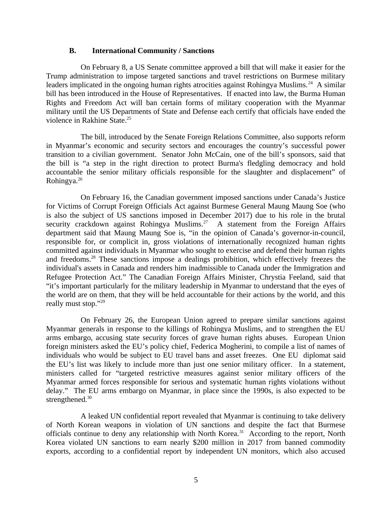#### <span id="page-4-0"></span>**B. International Community / Sanctions**

On February 8, a US Senate committee approved a bill that will make it easier for the Trump administration to impose targeted sanctions and travel restrictions on Burmese military leaders implicated in the ongoing human rights atrocities against Rohingya Muslims.<sup>24</sup> A similar bill has been introduced in the House of Representatives. If enacted into law, the Burma Human Rights and Freedom Act will ban certain forms of military cooperation with the Myanmar military until the US Departments of State and Defense each certify that officials have ended the violence in Rakhine State.<sup>25</sup>

The bill, introduced by the Senate Foreign Relations Committee, also supports reform in Myanmar's economic and security sectors and encourages the country's successful power transition to a civilian government. Senator John McCain, one of the bill's sponsors, said that the bill is "a step in the right direction to protect Burma's fledgling democracy and hold accountable the senior military officials responsible for the slaughter and displacement" of Rohingya.<sup>26</sup>

On February 16, the Canadian government imposed sanctions under Canada's Justice for Victims of Corrupt Foreign Officials Act against Burmese General Maung Maung Soe (who is also the subject of US sanctions imposed in December 2017) due to his role in the brutal security crackdown against Rohingya Muslims.<sup>27</sup> A statement from the Foreign Affairs department said that Maung Maung Soe is, "in the opinion of Canada's governor-in-council, responsible for, or complicit in, gross violations of internationally recognized human rights committed against individuals in Myanmar who sought to exercise and defend their human rights and freedoms.<sup>28</sup> These sanctions impose a dealings prohibition, which effectively freezes the individual's assets in Canada and renders him inadmissible to Canada under the Immigration and Refugee Protection Act." The Canadian Foreign Affairs Minister, Chrystia Feeland, said that "it's important particularly for the military leadership in Myanmar to understand that the eyes of the world are on them, that they will be held accountable for their actions by the world, and this really must stop."29

On February 26, the European Union agreed to prepare similar sanctions against Myanmar generals in response to the killings of Rohingya Muslims, and to strengthen the EU arms embargo, accusing state security forces of grave human rights abuses. European Union foreign ministers asked the EU's policy chief, Federica Mogherini, to compile a list of names of individuals who would be subject to EU travel bans and asset freezes. One EU diplomat said the EU's list was likely to include more than just one senior military officer. In a statement, ministers called for "targeted restrictive measures against senior military officers of the Myanmar armed forces responsible for serious and systematic human rights violations without delay." The EU arms embargo on Myanmar, in place since the 1990s, is also expected to be strengthened.<sup>30</sup>

A leaked UN confidential report revealed that Myanmar is continuing to take delivery of North Korean weapons in violation of UN sanctions and despite the fact that Burmese officials continue to deny any relationship with North Korea.<sup>31</sup> According to the report, North Korea violated UN sanctions to earn nearly \$200 million in 2017 from banned commodity exports, according to a confidential report by independent UN monitors, which also accused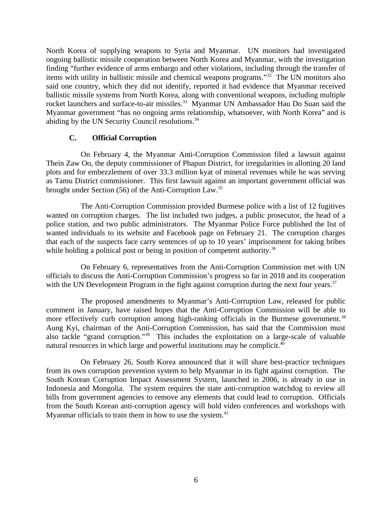North Korea of supplying weapons to Syria and Myanmar. UN monitors had investigated ongoing ballistic missile cooperation between North Korea and Myanmar, with the investigation finding "further evidence of arms embargo and other violations, including through the transfer of items with utility in ballistic missile and chemical weapons programs."<sup>32</sup> The UN monitors also said one country, which they did not identify, reported it had evidence that Myanmar received ballistic missile systems from North Korea, along with conventional weapons, including multiple rocket launchers and surface-to-air missiles.<sup>33</sup> Myanmar UN Ambassador Hau Do Suan said the Myanmar government "has no ongoing arms relationship, whatsoever, with North Korea" and is abiding by the UN Security Council resolutions.<sup>34</sup>

# <span id="page-5-0"></span>**C. Official Corruption**

On February 4, the Myanmar Anti-Corruption Commission filed a lawsuit against Thein Zaw Oo, the deputy commissioner of Phapun District, for irregularities in allotting 20 land plots and for embezzlement of over 33.3 million kyat of mineral revenues while he was serving as Tamu District commissioner. This first lawsuit against an important government official was brought under Section (56) of the Anti-Corruption Law.<sup>35</sup>

The Anti-Corruption Commission provided Burmese police with a list of 12 fugitives wanted on corruption charges. The list included two judges, a public prosecutor, the head of a police station, and two public administrators. The Myanmar Police Force published the list of wanted individuals to its website and Facebook page on February 21. The corruption charges that each of the suspects face carry sentences of up to 10 years' imprisonment for taking bribes while holding a political post or being in position of competent authority.<sup>36</sup>

On February 6, representatives from the Anti-Corruption Commission met with UN officials to discuss the Anti-Corruption Commission's progress so far in 2018 and its cooperation with the UN Development Program in the fight against corruption during the next four years.<sup>37</sup>

The proposed amendments to Myanmar's Anti-Corruption Law, released for public comment in January, have raised hopes that the Anti-Corruption Commission will be able to more effectively curb corruption among high-ranking officials in the Burmese government.<sup>38</sup> Aung Kyi, chairman of the Anti-Corruption Commission, has said that the Commission must also tackle "grand corruption."<sup>39</sup> This includes the exploitation on a large-scale of valuable natural resources in which large and powerful institutions may be complicit. $40$ 

On February 26, South Korea announced that it will share best-practice techniques from its own corruption prevention system to help Myanmar in its fight against corruption. The South Korean Corruption Impact Assessment System, launched in 2006, is already in use in Indonesia and Mongolia. The system requires the state anti-corruption watchdog to review all bills from government agencies to remove any elements that could lead to corruption. Officials from the South Korean anti-corruption agency will hold video conferences and workshops with Myanmar officials to train them in how to use the system. $41$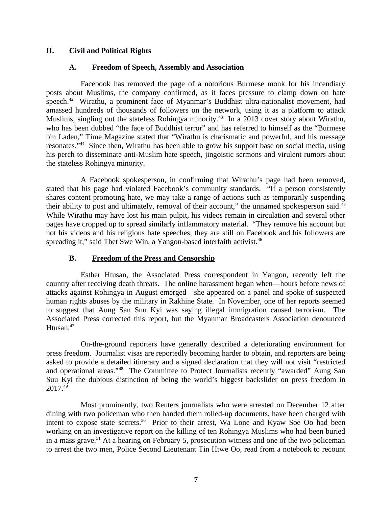# **II. Civil and Political Rights**

### <span id="page-6-2"></span><span id="page-6-1"></span>**A. Freedom of Speech, Assembly and Association**

Facebook has removed the page of a notorious Burmese monk for his incendiary posts about Muslims, the company confirmed, as it faces pressure to clamp down on hate speech.<sup>42</sup> Wirathu, a prominent face of Myanmar's Buddhist ultra-nationalist movement, had amassed hundreds of thousands of followers on the network, using it as a platform to attack Muslims, singling out the stateless Rohingya minority.<sup>43</sup> In a 2013 cover story about Wirathu, who has been dubbed "the face of Buddhist terror" and has referred to himself as the "Burmese bin Laden," Time Magazine stated that "Wirathu is charismatic and powerful, and his message resonates."<sup>44</sup> Since then, Wirathu has been able to grow his support base on social media, using his perch to disseminate anti-Muslim hate speech, jingoistic sermons and virulent rumors about the stateless Rohingya minority.

A Facebook spokesperson, in confirming that Wirathu's page had been removed, stated that his page had violated Facebook's community standards. "If a person consistently shares content promoting hate, we may take a range of actions such as temporarily suspending their ability to post and ultimately, removal of their account," the unnamed spokesperson said.<sup>45</sup> While Wirathu may have lost his main pulpit, his videos remain in circulation and several other pages have cropped up to spread similarly inflammatory material. "They remove his account but not his videos and his religious hate speeches, they are still on Facebook and his followers are spreading it," said Thet Swe Win, a Yangon-based interfaith activist. $46$ 

### <span id="page-6-0"></span>**B. Freedom of the Press and Censorship**

Esther Htusan, the Associated Press correspondent in Yangon, recently left the country after receiving death threats. The online harassment began when—hours before news of attacks against Rohingya in August emerged—she appeared on a panel and spoke of suspected human rights abuses by the military in Rakhine State. In November, one of her reports seemed to suggest that Aung San Suu Kyi was saying illegal immigration caused terrorism. The Associated Press corrected this report, but the Myanmar Broadcasters Association denounced Htusan.<sup>47</sup>

On-the-ground reporters have generally described a deteriorating environment for press freedom. Journalist visas are reportedly becoming harder to obtain, and reporters are being asked to provide a detailed itinerary and a signed declaration that they will not visit "restricted and operational areas."<sup>48</sup> The Committee to Protect Journalists recently "awarded" Aung San Suu Kyi the dubious distinction of being the world's biggest backslider on press freedom in  $2017.<sup>49</sup>$ 

Most prominently, two Reuters journalists who were arrested on December 12 after dining with two policeman who then handed them rolled-up documents, have been charged with intent to expose state secrets.<sup>50</sup> Prior to their arrest, Wa Lone and Kyaw Soe Oo had been working on an investigative report on the killing of ten Rohingya Muslims who had been buried in a mass grave.<sup>51</sup> At a hearing on February 5, prosecution witness and one of the two policeman to arrest the two men, Police Second Lieutenant Tin Htwe Oo, read from a notebook to recount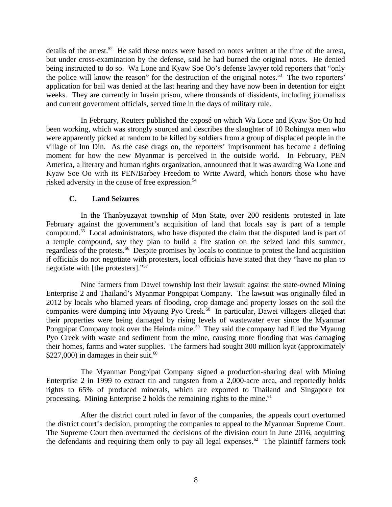details of the arrest.<sup>52</sup> He said these notes were based on notes written at the time of the arrest, but under cross-examination by the defense, said he had burned the original notes. He denied being instructed to do so. Wa Lone and Kyaw Soe Oo's defense lawyer told reporters that "only the police will know the reason" for the destruction of the original notes.<sup>53</sup> The two reporters' application for bail was denied at the last hearing and they have now been in detention for eight weeks. They are currently in Insein prison, where thousands of dissidents, including journalists and current government officials, served time in the days of military rule.

In February, Reuters published the exposé on which Wa Lone and Kyaw Soe Oo had been working, which was strongly sourced and describes the slaughter of 10 Rohingya men who were apparently picked at random to be killed by soldiers from a group of displaced people in the village of Inn Din. As the case drags on, the reporters' imprisonment has become a defining moment for how the new Myanmar is perceived in the outside world. In February, PEN America, a literary and human rights organization, announced that it was awarding Wa Lone and Kyaw Soe Oo with its PEN/Barbey Freedom to Write Award, which honors those who have risked adversity in the cause of free expression.<sup>54</sup>

### <span id="page-7-0"></span>**C. Land Seizures**

In the Thanbyuzayat township of Mon State, over 200 residents protested in late February against the government's acquisition of land that locals say is part of a temple compound.<sup>55</sup> Local administrators, who have disputed the claim that the disputed land is part of a temple compound, say they plan to build a fire station on the seized land this summer, regardless of the protests.<sup>56</sup> Despite promises by locals to continue to protest the land acquisition if officials do not negotiate with protesters, local officials have stated that they "have no plan to negotiate with [the protesters]."<sup>57</sup>

Nine farmers from Dawei township lost their lawsuit against the state-owned Mining Enterprise 2 and Thailand's Myanmar Pongpipat Company. The lawsuit was originally filed in 2012 by locals who blamed years of flooding, crop damage and property losses on the soil the companies were dumping into Myaung Pyo Creek.<sup>58</sup> In particular, Dawei villagers alleged that their properties were being damaged by rising levels of wastewater ever since the Myanmar Pongpipat Company took over the Heinda mine.<sup>59</sup> They said the company had filled the Myaung Pyo Creek with waste and sediment from the mine, causing more flooding that was damaging their homes, farms and water supplies. The farmers had sought 300 million kyat (approximately \$227,000) in damages in their suit. $60$ 

The Myanmar Pongpipat Company signed a production-sharing deal with Mining Enterprise 2 in 1999 to extract tin and tungsten from a 2,000-acre area, and reportedly holds rights to 65% of produced minerals, which are exported to Thailand and Singapore for processing. Mining Enterprise 2 holds the remaining rights to the mine. $61$ 

After the district court ruled in favor of the companies, the appeals court overturned the district court's decision, prompting the companies to appeal to the Myanmar Supreme Court. The Supreme Court then overturned the decisions of the division court in June 2016, acquitting the defendants and requiring them only to pay all legal expenses.<sup>62</sup> The plaintiff farmers took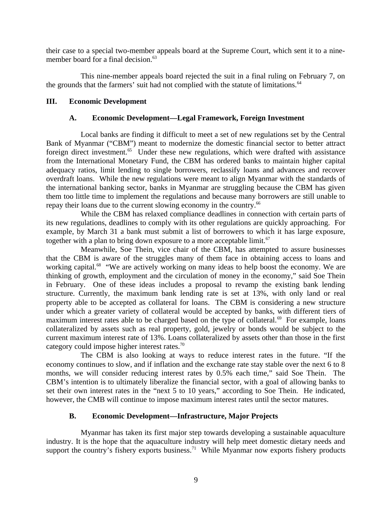their case to a special two-member appeals board at the Supreme Court, which sent it to a ninemember board for a final decision.<sup>63</sup>

This nine-member appeals board rejected the suit in a final ruling on February 7, on the grounds that the farmers' suit had not complied with the statute of limitations.<sup>64</sup>

### **III. Economic Development**

# <span id="page-8-2"></span><span id="page-8-1"></span>**A. Economic Development—Legal Framework, Foreign Investment**

Local banks are finding it difficult to meet a set of new regulations set by the Central Bank of Myanmar ("CBM") meant to modernize the domestic financial sector to better attract foreign direct investment.<sup>65</sup> Under these new regulations, which were drafted with assistance from the International Monetary Fund, the CBM has ordered banks to maintain higher capital adequacy ratios, limit lending to single borrowers, reclassify loans and advances and recover overdraft loans. While the new regulations were meant to align Myanmar with the standards of the international banking sector, banks in Myanmar are struggling because the CBM has given them too little time to implement the regulations and because many borrowers are still unable to repay their loans due to the current slowing economy in the country.<sup>66</sup>

While the CBM has relaxed compliance deadlines in connection with certain parts of its new regulations, deadlines to comply with its other regulations are quickly approaching. For example, by March 31 a bank must submit a list of borrowers to which it has large exposure, together with a plan to bring down exposure to a more acceptable limit. $67$ 

Meanwhile, Soe Thein, vice chair of the CBM, has attempted to assure businesses that the CBM is aware of the struggles many of them face in obtaining access to loans and working capital.<sup>68</sup> "We are actively working on many ideas to help boost the economy. We are thinking of growth, employment and the circulation of money in the economy," said Soe Thein in February. One of these ideas includes a proposal to revamp the existing bank lending structure. Currently, the maximum bank lending rate is set at 13%, with only land or real property able to be accepted as collateral for loans. The CBM is considering a new structure under which a greater variety of collateral would be accepted by banks, with different tiers of maximum interest rates able to be charged based on the type of collateral. $69$  For example, loans collateralized by assets such as real property, gold, jewelry or bonds would be subject to the current maximum interest rate of 13%. Loans collateralized by assets other than those in the first category could impose higher interest rates.<sup>70</sup>

The CBM is also looking at ways to reduce interest rates in the future. "If the economy continues to slow, and if inflation and the exchange rate stay stable over the next 6 to 8 months, we will consider reducing interest rates by 0.5% each time," said Soe Thein. The CBM's intention is to ultimately liberalize the financial sector, with a goal of allowing banks to set their own interest rates in the "next 5 to 10 years," according to Soe Thein. He indicated, however, the CMB will continue to impose maximum interest rates until the sector matures.

# <span id="page-8-0"></span>**B. Economic Development—Infrastructure, Major Projects**

Myanmar has taken its first major step towards developing a sustainable aquaculture industry. It is the hope that the aquaculture industry will help meet domestic dietary needs and support the country's fishery exports business.<sup>71</sup> While Myanmar now exports fishery products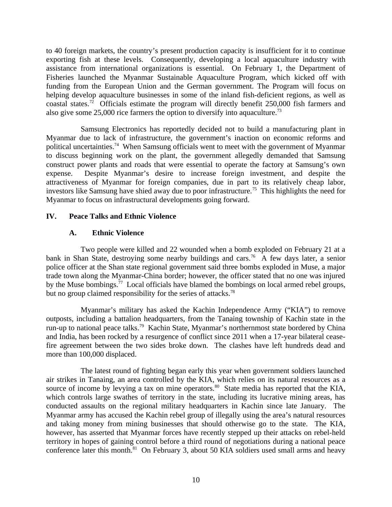to 40 foreign markets, the country's present production capacity is insufficient for it to continue exporting fish at these levels. Consequently, developing a local aquaculture industry with assistance from international organizations is essential. On February 1, the Department of Fisheries launched the Myanmar Sustainable Aquaculture Program, which kicked off with funding from the European Union and the German government. The Program will focus on helping develop aquaculture businesses in some of the inland fish-deficient regions, as well as coastal states.<sup>72</sup> Officials estimate the program will directly benefit 250,000 fish farmers and also give some 25,000 rice farmers the option to diversify into aquaculture.<sup>73</sup>

Samsung Electronics has reportedly decided not to build a manufacturing plant in Myanmar due to lack of infrastructure, the government's inaction on economic reforms and political uncertainties.<sup>74</sup> When Samsung officials went to meet with the government of Myanmar to discuss beginning work on the plant, the government allegedly demanded that Samsung construct power plants and roads that were essential to operate the factory at Samsung's own expense. Despite Myanmar's desire to increase foreign investment, and despite the attractiveness of Myanmar for foreign companies, due in part to its relatively cheap labor, investors like Samsung have shied away due to poor infrastructure.<sup>75</sup> This highlights the need for Myanmar to focus on infrastructural developments going forward.

# **IV. Peace Talks and Ethnic Violence**

# <span id="page-9-1"></span><span id="page-9-0"></span>**A. Ethnic Violence**

Two people were killed and 22 wounded when a bomb exploded on February 21 at a bank in Shan State, destroying some nearby buildings and cars.<sup>76</sup> A few days later, a senior police officer at the Shan state regional government said three bombs exploded in Muse, a major trade town along the Myanmar-China border; however, the officer stated that no one was injured by the Muse bombings.<sup>77</sup> Local officials have blamed the bombings on local armed rebel groups, but no group claimed responsibility for the series of attacks.<sup>78</sup>

Myanmar's military has asked the Kachin Independence Army ("KIA") to remove outposts, including a battalion headquarters, from the Tanaing township of Kachin state in the run-up to national peace talks.<sup>79</sup> Kachin State, Myanmar's northernmost state bordered by China and India, has been rocked by a resurgence of conflict since 2011 when a 17-year bilateral ceasefire agreement between the two sides broke down. The clashes have left hundreds dead and more than 100,000 displaced.

The latest round of fighting began early this year when government soldiers launched air strikes in Tanaing, an area controlled by the KIA, which relies on its natural resources as a source of income by levying a tax on mine operators.<sup>80</sup> State media has reported that the KIA, which controls large swathes of territory in the state, including its lucrative mining areas, has conducted assaults on the regional military headquarters in Kachin since late January. The Myanmar army has accused the Kachin rebel group of illegally using the area's natural resources and taking money from mining businesses that should otherwise go to the state. The KIA, however, has asserted that Myanmar forces have recently stepped up their attacks on rebel-held territory in hopes of gaining control before a third round of negotiations during a national peace conference later this month.<sup>81</sup> On February 3, about 50 KIA soldiers used small arms and heavy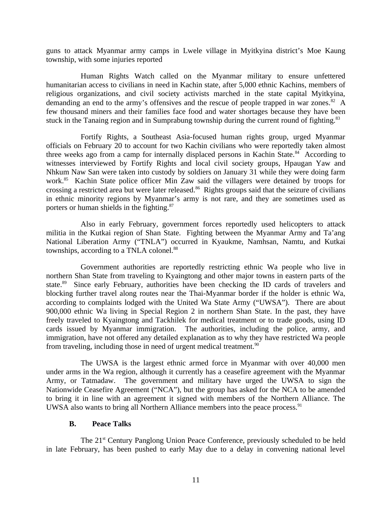guns to attack Myanmar army camps in Lwele village in Myitkyina district's Moe Kaung township, with some injuries reported

Human Rights Watch called on the Myanmar military to ensure unfettered humanitarian access to civilians in need in Kachin state, after 5,000 ethnic Kachins, members of religious organizations, and civil society activists marched in the state capital Myitkyina, demanding an end to the army's offensives and the rescue of people trapped in war zones.<sup>82</sup> A few thousand miners and their families face food and water shortages because they have been stuck in the Tanaing region and in Sumprabung township during the current round of fighting.<sup>83</sup>

Fortify Rights, a Southeast Asia-focused human rights group, urged Myanmar officials on February 20 to account for two Kachin civilians who were reportedly taken almost three weeks ago from a camp for internally displaced persons in Kachin State. $84$  According to witnesses interviewed by Fortify Rights and local civil society groups, Hpaugan Yaw and Nhkum Naw San were taken into custody by soldiers on January 31 while they were doing farm work.<sup>85</sup> Kachin State police officer Min Zaw said the villagers were detained by troops for crossing a restricted area but were later released.<sup>86</sup> Rights groups said that the seizure of civilians in ethnic minority regions by Myanmar's army is not rare, and they are sometimes used as porters or human shields in the fighting.<sup>87</sup>

Also in early February, government forces reportedly used helicopters to attack militia in the Kutkai region of Shan State. Fighting between the Myanmar Army and Ta'ang National Liberation Army ("TNLA") occurred in Kyaukme, Namhsan, Namtu, and Kutkai townships, according to a TNLA colonel.<sup>88</sup>

Government authorities are reportedly restricting ethnic Wa people who live in northern Shan State from traveling to Kyaingtong and other major towns in eastern parts of the state.<sup>89</sup> Since early February, authorities have been checking the ID cards of travelers and blocking further travel along routes near the Thai-Myanmar border if the holder is ethnic Wa, according to complaints lodged with the United Wa State Army ("UWSA"). There are about 900,000 ethnic Wa living in Special Region 2 in northern Shan State. In the past, they have freely traveled to Kyaingtong and Tackhilek for medical treatment or to trade goods, using ID cards issued by Myanmar immigration. The authorities, including the police, army, and immigration, have not offered any detailed explanation as to why they have restricted Wa people from traveling, including those in need of urgent medical treatment.<sup>90</sup>

The UWSA is the largest ethnic armed force in Myanmar with over 40,000 men under arms in the Wa region, although it currently has a ceasefire agreement with the Myanmar Army, or Tatmadaw. The government and military have urged the UWSA to sign the Nationwide Ceasefire Agreement ("NCA"), but the group has asked for the NCA to be amended to bring it in line with an agreement it signed with members of the Northern Alliance. The UWSA also wants to bring all Northern Alliance members into the peace process.<sup>91</sup>

### <span id="page-10-0"></span>**B. Peace Talks**

The 21<sup>st</sup> Century Panglong Union Peace Conference, previously scheduled to be held in late February, has been pushed to early May due to a delay in convening national level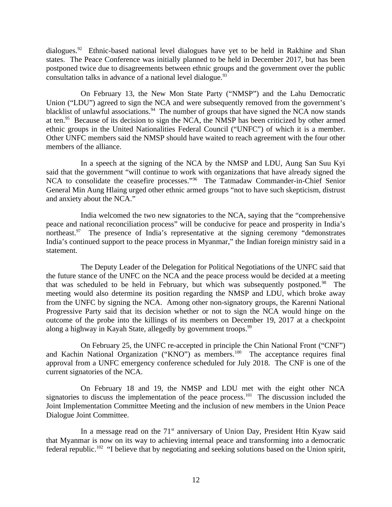dialogues.<sup>92</sup> Ethnic-based national level dialogues have yet to be held in Rakhine and Shan states. The Peace Conference was initially planned to be held in December 2017, but has been postponed twice due to disagreements between ethnic groups and the government over the public consultation talks in advance of a national level dialogue.<sup>93</sup>

On February 13, the New Mon State Party ("NMSP") and the Lahu Democratic Union ("LDU") agreed to sign the NCA and were subsequently removed from the government's blacklist of unlawful associations.<sup>94</sup> The number of groups that have signed the NCA now stands at ten. $95$  Because of its decision to sign the NCA, the NMSP has been criticized by other armed ethnic groups in the United Nationalities Federal Council ("UNFC") of which it is a member. Other UNFC members said the NMSP should have waited to reach agreement with the four other members of the alliance.

In a speech at the signing of the NCA by the NMSP and LDU, Aung San Suu Kyi said that the government "will continue to work with organizations that have already signed the NCA to consolidate the ceasefire processes."<sup>96</sup> The Tatmadaw Commander-in-Chief Senior General Min Aung Hlaing urged other ethnic armed groups "not to have such skepticism, distrust and anxiety about the NCA."

India welcomed the two new signatories to the NCA, saying that the "comprehensive peace and national reconciliation process" will be conducive for peace and prosperity in India's northeast.<sup>97</sup> The presence of India's representative at the signing ceremony "demonstrates India's continued support to the peace process in Myanmar," the Indian foreign ministry said in a statement.

The Deputy Leader of the Delegation for Political Negotiations of the UNFC said that the future stance of the UNFC on the NCA and the peace process would be decided at a meeting that was scheduled to be held in February, but which was subsequently postponed.<sup>98</sup> The meeting would also determine its position regarding the NMSP and LDU, which broke away from the UNFC by signing the NCA. Among other non-signatory groups, the Karenni National Progressive Party said that its decision whether or not to sign the NCA would hinge on the outcome of the probe into the killings of its members on December 19, 2017 at a checkpoint along a highway in Kayah State, allegedly by government troops.<sup>99</sup>

On February 25, the UNFC re-accepted in principle the Chin National Front ("CNF") and Kachin National Organization ("KNO") as members.<sup>100</sup> The acceptance requires final approval from a UNFC emergency conference scheduled for July 2018. The CNF is one of the current signatories of the NCA.

On February 18 and 19, the NMSP and LDU met with the eight other NCA signatories to discuss the implementation of the peace process.<sup>101</sup> The discussion included the Joint Implementation Committee Meeting and the inclusion of new members in the Union Peace Dialogue Joint Committee.

In a message read on the  $71<sup>st</sup>$  anniversary of Union Day, President Htin Kyaw said that Myanmar is now on its way to achieving internal peace and transforming into a democratic federal republic.<sup>102</sup> "I believe that by negotiating and seeking solutions based on the Union spirit,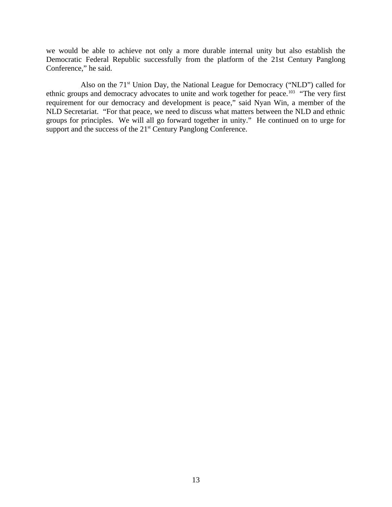we would be able to achieve not only a more durable internal unity but also establish the Democratic Federal Republic successfully from the platform of the 21st Century Panglong Conference," he said.

Also on the  $71<sup>st</sup>$  Union Day, the National League for Democracy ("NLD") called for ethnic groups and democracy advocates to unite and work together for peace.<sup>103</sup> "The very first requirement for our democracy and development is peace," said Nyan Win, a member of the NLD Secretariat. "For that peace, we need to discuss what matters between the NLD and ethnic groups for principles. We will all go forward together in unity." He continued on to urge for support and the success of the 21<sup>st</sup> Century Panglong Conference.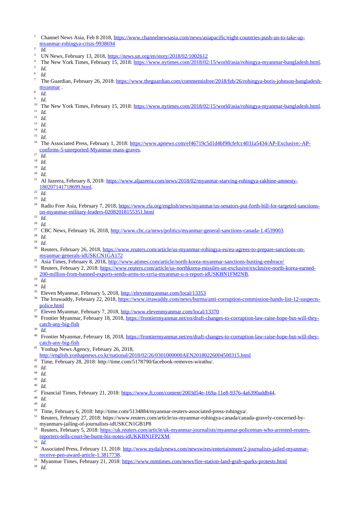- 1 Channel News Asia, Feb 8 2018, [https://www.channelnewsasia.com/news/asiapacific/eight-countries-push-un-to-take-up](https://www.channelnewsasia.com/news/asiapacific/eight-countries-push-un-to-take-up-myanmar-rohingya-crisis-9938694)[myanmar-rohingya-crisis-9938694](https://www.channelnewsasia.com/news/asiapacific/eight-countries-push-un-to-take-up-myanmar-rohingya-crisis-9938694)  $\overline{2}$
- *Id.*
- 3 UN News, February 13, 2018,<https://news.un.org/en/story/2018/02/1002612>
- 4 The New York Times, February 15, 2018: [https://www.nytimes.com/2018/02/15/world/asia/rohingya-myanmar-bangladesh.html.](https://www.nytimes.com/2018/02/15/world/asia/rohingya-myanmar-bangladesh.html) 5 *Id.*

6 *Id.*

- 7 The Guardian, February 26, 2018: [https://www.theguardian.com/commentisfree/2018/feb/26/rohingya-boris-johnson-bangladesh](https://www.theguardian.com/commentisfree/2018/feb/26/rohingya-boris-johnson-bangladesh-myanmar)[myanmar](https://www.theguardian.com/commentisfree/2018/feb/26/rohingya-boris-johnson-bangladesh-myanmar) .  $\mathbf{Q}$
- *Id.* 9
- *Id.*
- <sup>10</sup> The New York Times, February 15, 2018: [https://www.nytimes.com/2018/02/15/world/asia/rohingya-myanmar-bangladesh.html.](https://www.nytimes.com/2018/02/15/world/asia/rohingya-myanmar-bangladesh.html)
- <sup>11</sup> *Id.*
- <sup>12</sup> *Id.*
- <sup>13</sup> *Id.*
- $\frac{14}{15}$  *Id.*
- $\frac{15}{16}$  *Id.* 16 The Associated Press, February 1, 2018: [https://www.apnews.com/ef46719c5d1d4bf98cfefcc4031a5434/AP-Exclusive:-AP](https://www.apnews.com/ef46719c5d1d4bf98cfefcc4031a5434/AP-Exclusive:-AP-confirms-5-unreported-Myanmar-mass-graves)[confirms-5-unreported-Myanmar-mass-graves.](https://www.apnews.com/ef46719c5d1d4bf98cfefcc4031a5434/AP-Exclusive:-AP-confirms-5-unreported-Myanmar-mass-graves)
- $\frac{17}{18}$  *Id.*
- $\frac{18}{19}$  *Id.*
- $\frac{19}{20}$  *Id.*
- $\frac{20}{21}$  *Id.*
- 21 Al Jazeera, February 8, 2018: [https://www.aljazeera.com/news/2018/02/myanmar-starving-rohingya-rakhine-amnesty-](https://www.aljazeera.com/news/2018/02/myanmar-starving-rohingya-rakhine-amnesty-180207141718699.html)[180207141718699.html.](https://www.aljazeera.com/news/2018/02/myanmar-starving-rohingya-rakhine-amnesty-180207141718699.html)
- $\frac{22}{23}$  *Id.*
- $\frac{23}{24}$  *Id.*
- Radio Free Asia, February 7, 2018, [https://www.rfa.org/english/news/myanmar/us-senators-put-forth-bill-for-targeted-sanctions](https://www.rfa.org/english/news/myanmar/us-senators-put-forth-bill-for-targeted-sanctions-on-myanmar-military-leaders-02082018155351.html)[on-myanmar-military-leaders-02082018155351.html](https://www.rfa.org/english/news/myanmar/us-senators-put-forth-bill-for-targeted-sanctions-on-myanmar-military-leaders-02082018155351.html)
- $rac{25}{26}$  *Id.*
- $\frac{26}{27}$  *Id.*
- <sup>27</sup> CBC News, February 16, 2018,<http://www.cbc.ca/news/politics/myanmar-general-sanctions-canada-1.4539003>
- $rac{28}{29}$  *Id.*
- $rac{29}{30}$  *Id.*
- 30 Reuters, February 26, 2018, [https://www.reuters.com/article/us-myanmar-rohingya-eu/eu-agrees-to-prepare-sanctions-on](https://www.reuters.com/article/us-myanmar-rohingya-eu/eu-agrees-to-prepare-sanctions-on-myanmar-generals-idUSKCN1GA172)[myanmar-generals-idUSKCN1GA172](https://www.reuters.com/article/us-myanmar-rohingya-eu/eu-agrees-to-prepare-sanctions-on-myanmar-generals-idUSKCN1GA172)
- <sup>31</sup> Asia Times, February 8, 2018,<http://www.atimes.com/article/north-korea-myanmar-sanctions-busting-embrace/><br><sup>32</sup> Benters, February 2, 2018; https://www.renters.com/article/us-porthkorea-missiles-un-exclusive/exclusive-
- 32 Reuters, February 2, 2018: [https://www.reuters.com/article/us-northkorea-missiles-un-exclusive/exclusive-north-korea-earned-](https://www.reuters.com/article/us-northkorea-missiles-un-exclusive/exclusive-north-korea-earned-200-million-from-banned-exports-sends-arms-to-syria-myanmar-u-n-report-idUSKBN1FM2NB)[200-million-from-banned-exports-sends-arms-to-syria-myanmar-u-n-report-idUSKBN1FM2NB.](https://www.reuters.com/article/us-northkorea-missiles-un-exclusive/exclusive-north-korea-earned-200-million-from-banned-exports-sends-arms-to-syria-myanmar-u-n-report-idUSKBN1FM2NB)
- <sup>33</sup> *Id.*
- <sup>34</sup> *Id.*
- <sup>35</sup> Eleven Myanmar, February 5, 2018, <u>http://elevenmyanmar.com/local/13353</u><br><sup>36</sup> The Impuraddy, February 22, 2019, https://www.impuraddy.com/paug/burma
- 36 The Irrawaddy, February 22, 2018, [https://www.irrawaddy.com/news/burma/anti-corruption-commission-hands-list-12-suspects](https://www.irrawaddy.com/news/burma/anti-corruption-commission-hands-list-12-suspects-police.html)[police.html](https://www.irrawaddy.com/news/burma/anti-corruption-commission-hands-list-12-suspects-police.html)
- <sup>37</sup> Eleven Myanmar, February 7, 2018,<http://www.elevenmyanmar.com/local/13370>
- 38 Frontier Myanmar, February 18, 2018, [https://frontiermyanmar.net/en/draft-changes-to-corruption-law-raise-hope-but-will-they](https://frontiermyanmar.net/en/draft-changes-to-corruption-law-raise-hope-but-will-they-catch-any-big-fish)[catch-any-big-fish](https://frontiermyanmar.net/en/draft-changes-to-corruption-law-raise-hope-but-will-they-catch-any-big-fish)
- <sup>39</sup> *Id.*
- 40 Frontier Myanmar, February 18, 2018, [https://frontiermyanmar.net/en/draft-changes-to-corruption-law-raise-hope-but-will-they](https://frontiermyanmar.net/en/draft-changes-to-corruption-law-raise-hope-but-will-they-catch-any-big-fish)[catch-any-big-fish](https://frontiermyanmar.net/en/draft-changes-to-corruption-law-raise-hope-but-will-they-catch-any-big-fish)
- <sup>41</sup> Yonhap News Agency, February 26, 2018, <http://english.yonhapnews.co.kr/national/2018/02/26/0301000000AEN20180226004500315.html>
- Time, February 28, 2018: http://time.com/5178790/facebook-removes-wirathu/.
- <sup>43</sup> *Id.*
- <sup>44</sup> *Id.*
- $\frac{45}{46}$  *Id.*
- $\frac{46}{47}$  *Id.*
- <sup>47</sup> Financial Times, February 21, 2018: [https://www.ft.com/content/2003d54e-169a-11e8-9376-4a6390addb44.](https://www.ft.com/content/2003d54e-169a-11e8-9376-4a6390addb44)
- $\frac{48}{49}$  *Id.*
- <sup>49</sup> *Id.*
- <sup>50</sup> Time, February 6, 2018: http://time.com/5134884/myanmar-reuters-associated-press-rohingya/.<br><sup>51</sup> Poutage February 27, 2019: http://www.com/article/us.myanmar-reliative canada/cana
- 51 Reuters, February 27, 2018: https://www.reuters.com/article/us-myanmar-rohingya-canada/canada-gravely-concerned-bymyanmars-jailing-of-journalists-idUSKCN1GB1P8
- 52 Reuters, February 5, 2018: [https://uk.reuters.com/article/uk-myanmar-journalists/myanmar-policeman-who-arrested-reuters](https://uk.reuters.com/article/uk-myanmar-journalists/myanmar-policeman-who-arrested-reuters-reporters-tells-court-he-burnt-his-notes-idUKKBN1FP2XM)[reporters-tells-court-he-burnt-his-notes-idUKKBN1FP2XM.](https://uk.reuters.com/article/uk-myanmar-journalists/myanmar-policeman-who-arrested-reuters-reporters-tells-court-he-burnt-his-notes-idUKKBN1FP2XM)

<sup>53</sup> *Id.*

- 54 Associated Press, February 13, 2018: [http://www.nydailynews.com/newswires/entertainment/2-journalists-jailed-myanmar](http://www.nydailynews.com/newswires/entertainment/2-journalists-jailed-myanmar-receive-pen-award-article-1.3817738)[receive-pen-award-article-1.3817738.](http://www.nydailynews.com/newswires/entertainment/2-journalists-jailed-myanmar-receive-pen-award-article-1.3817738)
- <sup>55</sup> Myanmar Times, February 21, 2018:<https://www.mmtimes.com/news/fire-station-land-grab-sparks-protests.html><br><sup>56</sup> M

<sup>56</sup> *Id*.